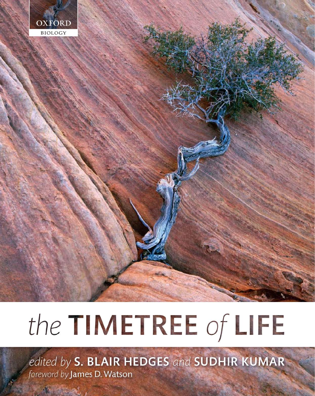

# the TIMETREE of LIFE

edited by S. BLAIR HEDGES and SUDHIR KUMAR foreword by James D. Watson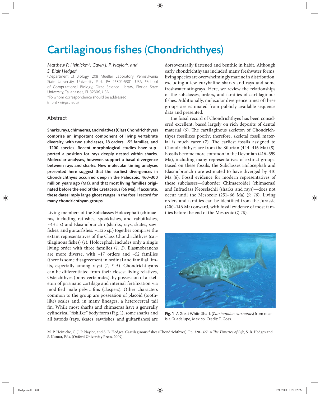# **Cartilaginous fishes (Chondrichthyes)**

### *Matthew P. Heinicke*a,*\*, Gavin J. P. Naylor*<sup>b</sup>*, and S. Blair Hedges*<sup>a</sup>

a Department of Biology, 208 Mueller Laboratory, Pennsylvania State University, University Park, PA 16802-5301, USA; bSchool of Computational Biology, Dirac Science Library, Florida State University, Tallahassee, FL 32306, USA

\*To whom correspondence should be addressed (mph177@psu.edu)

# Abstract

Sharks, rays, chimaeras, and relatives (Class Chondrichthyes) comprise an important component of living vertebrate diversity, with two subclasses, 18 orders, ~55 families, and ~1200 species. Recent morphological studies have supported a position for rays deeply nested within sharks. Molecular analyses, however, support a basal divergence between rays and sharks. New molecular timing analyses presented here suggest that the earliest divergences in Chondrichthyes occurred deep in the Paleozoic, 460–300 million years ago (Ma), and that most living families originated before the end of the Cretaceous (66 Ma). If accurate, these dates imply large ghost ranges in the fossil record for many chondrichthyan groups.

Living members of the Subclasses Holocephali (chimaeras, including ratfishes, spookfishes, and rabbitfishes, ~43 sp.) and Elasmobranchii (sharks, rays, skates, sawfishes, and guitarfishes,  $\sim$ 1125 sp.) together comprise the extant representatives of the Class Chondrichthyes (cartilaginous fishes) (1). Holocephali includes only a single living order with three families (*1, 2*). Elasmobranchs are more diverse, with  $\sim$ 17 orders and  $\sim$ 52 families (there is some disagreement in ordinal and familial limits, especially among rays) (*1, 3–5*). Chondrichthyans can be differentiated from their closest living relatives, Osteichthyes (bony vertebrates), by possession of a skeleton of prismatic cartilage and internal fertilization via modified male pelvic fins (claspers). Other characters common to the group are possession of placoid (toothlike) scales and, in many lineages, a heterocercal tail fin. While most sharks and chimaeras have a generally cylindrical "fishlike" body form (Fig. 1), some sharks and all batoids (rays, skates, sawfishes, and guitarfishes) are

dorsoventrally flattened and benthic in habit. Although early chondrichthyans included many freshwater forms, living species are overwhelmingly marine in distribution, excluding a few euryhaline sharks and rays and some freshwater stingrays. Here, we review the relationships of the subclasses, orders, and families of cartilaginous fishes. Additionally, molecular divergence times of these groups are estimated from publicly available sequence data and presented.

The fossil record of Chondrichthyes has been considered excellent, based largely on rich deposits of dental material (6). The cartilaginous skeleton of Chondrichthyes fossilizes poorly; therefore, skeletal fossil material is much rarer  $(7)$ . The earliest fossils assigned to Chondrichthyes are from the Silurian (444–416 Ma) (*8*). Fossils become more common in the Devonian (416–359 Ma), including many representatives of extinct groups. Based on these fossils, the Subclasses Holocephali and Elasmobranchii are estimated to have diverged by 410 Ma (*8*). Fossil evidence for modern representatives of these subclasses—Suborder Chimaeroidei (chimaeras) and Infraclass Neoselachii (sharks and rays)—does not occur until the Mesozoic (251–66 Ma) (*9, 10*). Living orders and families can be identified from the Jurassic (200–146 Ma) onward, with fossil evidence of most families before the end of the Mesozoic (*7, 10*).



Fig. 1 A Great White Shark (*Carcharodon carcharias*) from near Isla Guadalupe, Mexico. Credit: T. Goss.

M. P. Heinicke, G. J. P. Naylor, and S. B. Hedges. Cartilaginous fishes (Chondrichthyes). Pp. 320-327 in *The Timetree of Life*, S. B. Hedges and S. Kumar, Eds. (Oxford University Press, 2009).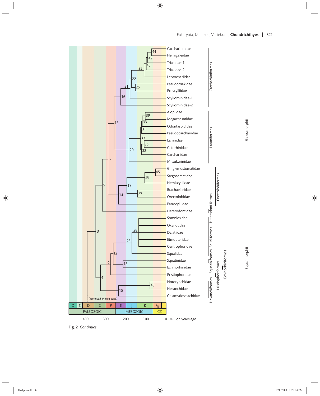

Fig. 2 *Continues*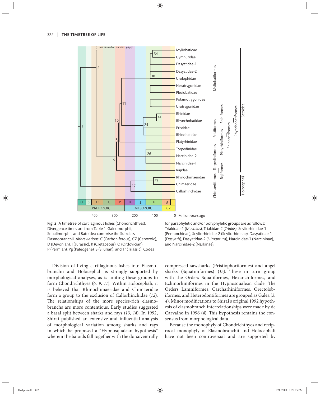

Fig. 2 A timetree of cartilaginous fishes (Chondrichthyes). Divergence times are from Table 1. Galeomorphii, Squalimorphii, and Batoidea comprise the Subclass Elasmobranchii. *Abbreviations*: C (Carboniferous), CZ (Cenozoic), D (Devonian), J (Jurassic), K (Cretaceous), O (Ordovician), P (Permian), Pg (Paleogene), S (Silurian), and Tr (Triassic). Codes

Division of living cartilaginous fishes into Elasmobranchii and Holocephali is strongly supported by morphological analyses, as is uniting these groups to form Chondrichthyes (*6, 9*, *11*). Within Holocephali, it is believed that Rhinochimaeridae and Chimaeridae form a group to the exclusion of Callorhinchidae (12). The relationships of the more species-rich elasmobranchs are more contentious. Early studies suggested a basal split between sharks and rays (*13, 14*). In 1992, Shirai published an extensive and influential analysis of morphological variation among sharks and rays in which he proposed a "Hypnosqualean hypothesis" wherein the batoids fall together with the dorsoventrally

for paraphyletic and/or polyphyletic groups are as follows: Triakidae-1 (*Mustelus*), Triakidae-2 (*Triakis*), Scyliorhinidae-1 (Pentanchinae), Scyliorhinidae-2 (Scyliorhininae), Dasyatidae-1 (*Dasyatis*), Dasyatidae-2 (*Himantura*), Narcinidae-1 (Narcininae), and Narcinidae-2 (Narkinae).

compressed sawsharks (Pristiophoriformes) and angel sharks (Squatiniformes) (15). These in turn group with the Orders Squaliformes, Hexanchiformes, and Echinorhiniformes in the Hypnosqualean clade. The Orders Lamniformes, Carcharhiniformes, Orectolobiformes, and Heterodontiformes are grouped as Galea (*3,*  4). Minor modifications to Shirai's original 1992 hypothesis of elasmobranch interrelationships were made by de Carvalho in 1996 (4). This hypothesis remains the consensus from morphological data.

Because the monophyly of Chondrichthyes and reciprocal monophyly of Elasmobranchii and Holocephali have not been controversial and are supported by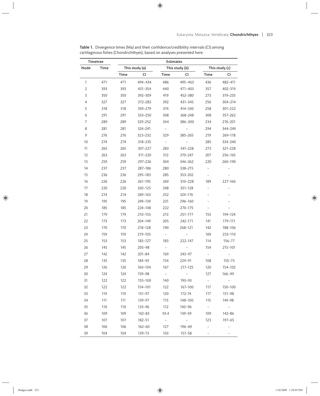| Table 1. Divergence times (Ma) and their confidence/credibility intervals (CI) among |
|--------------------------------------------------------------------------------------|
| cartilaginous fishes (Chondrichthyes), based on analyses presented here.             |

| Timetree       |      | Estimates                                          |            |                          |                          |                          |                          |  |  |
|----------------|------|----------------------------------------------------|------------|--------------------------|--------------------------|--------------------------|--------------------------|--|--|
| Node           | Time | This study (c)<br>This study (a)<br>This study (b) |            |                          |                          |                          |                          |  |  |
|                |      | Time                                               | CI         | Time                     | СI                       | Time                     | CI                       |  |  |
| 1              | 471  | 471                                                | 494-434    | 486                      | 495-463                  | 436                      | 482-411                  |  |  |
| 2              | 393  | 393                                                | 431-354    | 440                      | 471-403                  | 357                      | 402-319                  |  |  |
| 3              | 350  | 350                                                | 392-309    | 419                      | 452-380                  | 273                      | 319-235                  |  |  |
| $\overline{4}$ | 327  | 327                                                | 372-283    | 392                      | 431-345                  | 256                      | 304-214                  |  |  |
| 5              | 318  | 318                                                | 359-279    | 374                      | 414-330                  | 258                      | 301-222                  |  |  |
| 6              | 291  | 291                                                | 333-250    | 308                      | 368-248                  | 308                      | 357-262                  |  |  |
| 7              | 289  | 289                                                | 329-252    | 344                      | 386-300                  | 234                      | 276-201                  |  |  |
| 8              | 281  | 281                                                | 324-241    | $\equiv$                 | $\equiv$                 | 294                      | 344-249                  |  |  |
| 9              | 276  | 276                                                | 323-232    | 329                      | 385-265                  | 219                      | 269-178                  |  |  |
| 10             | 274  | 274                                                | 318-235    |                          |                          | 285                      | 334-240                  |  |  |
| 11             | 265  | 265                                                | 307-227    | 283                      | 341-228                  | 273                      | 321-228                  |  |  |
| 12             | 263  | 263                                                | 311-220    | 312                      | 370-247                  | 207                      | 256-165                  |  |  |
| 13             | 259  | 259                                                | 297-226    | 304                      | 346-262                  | 220                      | 260-190                  |  |  |
| 14             | 237  | 237                                                | 287-186    | 280                      | 338-215                  | $\overline{\phantom{0}}$ |                          |  |  |
| 15             | 236  | 236                                                | 295-183    | 285                      | 353-202                  | $\overline{\phantom{0}}$ |                          |  |  |
| 16             | 226  | 226                                                | 261-195    | 269                      | 310-228                  | 189                      | 227-166                  |  |  |
| 17             | 220  | 220                                                | 320-125    | 248                      | 351-128                  | $\overline{\phantom{0}}$ |                          |  |  |
| 18             | 214  | 214                                                | 269-163    | 252                      | 324-176                  |                          |                          |  |  |
| 19             | 195  | 195                                                | 249-139    | 231                      | 296-160                  |                          |                          |  |  |
| 20             | 185  | 185                                                | 224-148    | 222                      | 270-175                  | $\overline{\phantom{0}}$ | $\overline{\phantom{0}}$ |  |  |
| 21             | 179  | 179                                                | 210-153    | 213                      | 251-177                  | 155                      | 194-124                  |  |  |
| 22             | 173  | 173                                                | 204-149    | 205                      | 242-171                  | 141                      | 179-111                  |  |  |
| 23             | 170  | 170                                                | 218-128    | 190                      | 268-121                  | 142                      | 188-106                  |  |  |
| 24             | 159  | 159                                                | 219-105    | $ \,$                    | $\equiv$                 | 169                      | 233-110                  |  |  |
| 25             | 153  | 153                                                | 183-127    | 183                      | 222-147                  | 114                      | 156–77                   |  |  |
| 26             | 145  | 145                                                | $205 - 98$ | $\equiv$                 | $\overline{\phantom{a}}$ | 154                      | 215-101                  |  |  |
| 27             | 142  | 142                                                | $201 - 84$ | 169                      | 243-97                   |                          |                          |  |  |
| 28             | 135  | 135                                                | 184-93     | 154                      | 229-91                   | 108                      | $155 - 73$               |  |  |
| 29             | 126  | 126                                                | 160-104    | 167                      | 217-125                  | 120                      | 154-102                  |  |  |
| 30             | 124  | 124                                                | 159-98     | $\overline{\phantom{a}}$ | $\equiv$                 | 127                      | 166-99                   |  |  |
| 31             | 122  | 122                                                | 155-100    | 140                      | 193-93                   | $\equiv$                 |                          |  |  |
| 32             | 122  | 122                                                | 154-101    | 122                      | 167-100                  | 117                      | 150-100                  |  |  |
| 33             | 119  | 119                                                | $151 - 97$ | 120                      | 172-74                   | 117                      | 151-98                   |  |  |
| 34             | 111  | 111                                                | 139–97     | 115                      | 148-100                  | 115                      | 149-98                   |  |  |
| 35             | 110  | 110                                                | 133-96     | 112                      | 140-96                   | $\equiv$                 | $\sim$ $ \sim$           |  |  |
| 36             | 109  | 109                                                | $142 - 83$ | 93.4                     | 139-59                   | 109                      | 142-86                   |  |  |
| 37             | 107  | 107                                                | $182 - 51$ | $\sim$                   | $\alpha_{\rm{max}}$      | 123                      | $197 - 65$               |  |  |
| 38             | 106  | 106                                                | 162-60     | 127                      | $196 - 69$               | $\overline{\phantom{0}}$ |                          |  |  |
| 39             | 104  | 104                                                | 139-73     | 103                      | 157-58                   |                          |                          |  |  |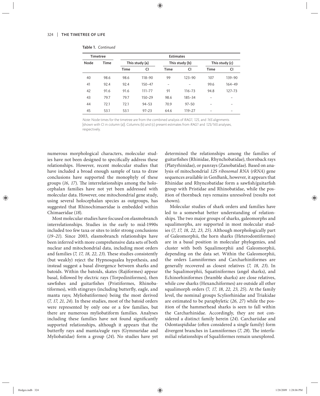| <b>Timetree</b> |      | <b>Estimates</b> |            |                          |            |                |            |  |
|-----------------|------|------------------|------------|--------------------------|------------|----------------|------------|--|
| Node            | Time | This study (a)   |            | This study (b)           |            | This study (c) |            |  |
|                 |      | Time             | CI         | <b>Time</b>              | CI         | <b>Time</b>    | CI         |  |
| 40              | 98.6 | 98.6             | 118-90     | 99                       | $123 - 90$ | 107            | 139-90     |  |
| 41              | 92.4 | 92.4             | $150 - 47$ | $\overline{\phantom{0}}$ |            | 99.6           | $164 - 49$ |  |
| 42              | 91.6 | 91.6             | 111-77     | 91                       | $116 - 73$ | 94.8           | $127 - 73$ |  |
| 43              | 79.7 | 79.7             | $150 - 29$ | 98.6                     | 185-34     |                |            |  |
| 44              | 72.1 | 72.1             | $94 - 53$  | 70.9                     | $97 - 50$  |                |            |  |
| 45              | 53.1 | 53.1             | $97 - 23$  | 64.6                     | $119 - 27$ |                |            |  |

Table 1. *Continued*

Note: Node times for the timetree are from the combined analysis of RAG1, 12S, and 16S alignments [shown with CI in column (a)]. Columns (b) and (c) present estimates from RAG1 and 12S/16S analyses, respectively.

numerous morphological characters, molecular studies have not been designed to specifically address these relationships. However, recent molecular studies that have included a broad enough sample of taxa to draw conclusions have supported the monophyly of these groups (16, 17). The interrelationships among the holocephalan families have not yet been addressed with molecular data. However, one mitochondrial gene study, using several holocephalan species as outgroups, has suggested that Rhinochimaeridae is embedded within Chimaeridae (*18*).

Most molecular studies have focused on elasmobranch interrelationships. Studies in the early to mid-1990s included too few taxa or sites to infer strong conclusions (*19–21*). Since 2003, elasmobranch relationships have been inferred with more comprehensive data sets of both nuclear and mitochondrial data, including most orders and families (*7, 17, 18, 22, 23*). These studies consistently (but weakly) reject the Hypnosqualea hypothesis, and instead suggest a basal divergence between sharks and batoids. Within the batoids, skates (Rajiformes) appear basal, followed by electric rays (Torpediniformes), then sawfishes and guitarfishes (Pristiformes, Rhinobatiformes), with stingrays (including butterfly, eagle, and manta rays; Myliobatiformes) being the most derived (*7, 17, 21, 24*). In these studies, most of the batoid orders were represented by only one or a few families, but there are numerous myliobatiform families. Analyses including these families have not found significantly supported relationships, although it appears that the butterfly rays and manta/eagle rays (Gymnuridae and Myliobatidae) form a group (*24*). No studies have yet

determined the relationships among the families of guitarfishes (Rhinidae, Rhynchobatidae), thornback rays (Platyrhinidae), or panrays (Zanobatidae). Based on analysis of mitochondrial *12S ribosomal RNA* (*rRNA*) gene sequences available in GenBank, however, it appears that Rhinidae and Rhyncobatidae form a sawfish/guitarfish group with Pristidae and Rhinobatidae, while the position of thornback rays remains unresolved (results not shown).

Molecular studies of shark orders and families have led to a somewhat better understanding of relationships. The two major groups of sharks, galeomorphs and squalimorphs, are supported in most molecular studies (*7, 17, 18, 22, 23, 25*). Although morphologically part of Galeomorphii, the horn sharks (Heterodontiformes) are in a basal position in molecular phylogenies, and cluster with both Squalimorphii and Galeomorphii, depending on the data set. Within the Galeomorphii, the orders Lamniformes and Carcharhiniformes are generally recovered as closest relatives (*7, 18, 23*). In the Squalimorphii, Squatiniformes (angel sharks), and Echinorhiniformes (bramble sharks) are close relatives, while cow sharks (Hexanchiformes) are outside all other squalimorph orders (7*, 17, 18, 22, 23, 25*). At the family level, the nominal groups Scyliorhinidae and Triakidae are estimated to be paraphyletic (*26, 27*) while the position of the hammerhead sharks is seen to fall within the Carcharhinidae. Accordingly, they are not considered a distinct family herein (*24*). Carchariidae and Odontaspididae (often considered a single family) form divergent branches in Lamniformes (7, 28). The interfamilial relationships of Squaliformes remain unexplored.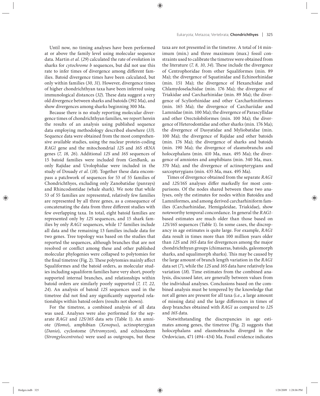Until now, no timing analyses have been performed at or above the family level using molecular sequence data. Martin *et al.* (*29*) calculated the rate of evolution in sharks for *cytochrome b* sequences, but did not use this rate to infer times of divergence among different families. Batoid divergence times have been calculated, but only within families (*30, 31*). However, divergence times of higher chondrichthyan taxa have been inferred using immunological distances (32). These data suggest a very

old divergence between sharks and batoids (392 Ma), and

show divergences among sharks beginning 300 Ma. Because there is no study reporting molecular divergence times of chondrichthyan families, we report herein the results of an analysis using published sequence data employing methodology described elsewhere (*33*). Sequence data were obtained from the most comprehensive available studies, using the nuclear protein-coding *RAG1* gene and the mitochondrial *12S* and *16S rRNA* genes (*7, 18, 26*). Additional *12S* and *16S* sequences of 15 batoid families were included from GenBank, as only Rajidae and Urolophidae were included in the study of Douady *et al*. (*18*). Together these data encompass a patchwork of sequences for 53 of 55 families of Chondrichthyes, excluding only Zanobatidae (panrays) and Rhincodontidae (whale shark). We note that while 53 of 55 families are represented, relatively few families are represented by all three genes, as a consequence of concatenating the data from three different studies with few overlapping taxa. In total, eight batoid families are represented only by 12S sequences, and 15 shark families by only *RAG1* sequences, while 17 families include all data and the remaining 13 families include data for two genes. Tree topology was based on the studies that reported the sequences, although branches that are not resolved or conflict among these and other published molecular phylogenies were collapsed to polytomies for the final timetree (Fig. 2). These polytomies mainly affect Squaliformes and the batoid orders, as molecular studies including squaliform families have very short, poorly supported internal branches, and relationships within batoid orders are similarly poorly supported (*7, 17, 22, 24*). An analysis of batoid *12S* sequences used in the timetree did not find any significantly supported relationships within batoid orders (results not shown).

For the timetree, a combined analysis of all data was used. Analyses were also performed for the separate *RAG1* and *12S/16S* data sets (Table 1). An amniote (*Homo*), amphibian (*Xenopus*), actinopterygian (*Danio*), cyclostome (*Petromyzon*), and echinoderm (*Strongylocentrotus*) were used as outgroups, but these taxa are not presented in the timetree. A total of 14 minimum (min.) and three maximum (max.) fossil constraints used to calibrate the timetree were obtained from the literature (7, 8, 10, 34). These include the divergence of Centrophoridae from other Squaliformes (min. 89 Ma); the divergence of Squatinidae and Echinorhinidae (min. 151 Ma); the divergence of Hexanchidae and Chlamydoselachidae (min. 176 Ma); the divergence of Triakidae and Carcharhinidae (min. 89 Ma); the divergence of Scyliorhinidae and other Carcharhiniformes (min. 165 Ma); the divergence of Carchariidae and Lamnidae (min. 100 Ma); the divergence of Parascyllidae and other Orectolobiformes (min. 100 Ma); the divergence of Heterodontidae and other sharks (min. 176 Ma); the divergence of Dasyatidae and Myliobatidae (min. 100 Ma); the divergence of Rajidae and other batoids (min. 176 Ma); the divergence of sharks and batoids (min. 190 Ma); the divergence of elasmobranchs and holocephalans (min. 410 Ma, max. 495 Ma); the divergence of amniotes and amphibians (min. 340 Ma, max. 370 Ma); and the divergence of actinopterygians and sarcopterygians (min. 435 Ma, max. 495 Ma).

Times of divergence obtained from the separate *RAG1* and 12S/16S analyses differ markedly for most comparisons. Of the nodes shared between these two analyses, only the estimates for nodes within Batoidea and Lamniformes, and among derived carcharhiniform families (Carcharhinidae, Hemigaleidae, Triakidae), show noteworthy temporal concordance. In general the *RAG1* based estimates are much older than those based on *12S/16S* sequences (Table 1). In some cases, the discrepancy in age estimates is quite large. For example, *RAG1* data result in times more than 100 million years older than *12S* and *16S* data for divergences among the major chondrichthyan groups (chimaeras, batoids, galeomorph sharks, and squalimorph sharks). This may be caused by the large amount of branch length variation in the *RAG1*  data set (*7*), while the *12S* and *16S* data have relatively less variation (*18*). Time estimates from the combined analysis, discussed later, are generally between values from the individual analyses. Conclusions based on the combined analysis must be tempered by the knowledge that not all genes are present for all taxa (i.e., a large amount of missing data) and the large differences in times of deep branches obtained with *RAG1* as compared to *12S* and *16S* data.

Notwithstanding the discrepancies in age estimates among genes, the timetree (Fig. 2) suggests that holocephalans and elasmobranchs diverged in the Ordovician, 471 (494–434) Ma. Fossil evidence indicates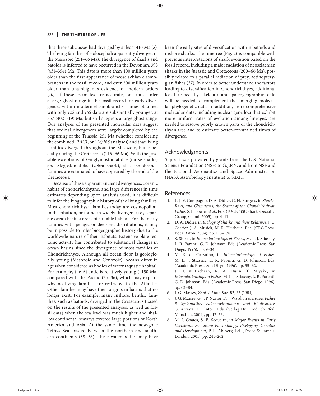that these subclasses had diverged by at least 410 Ma (*8*). The living families of Holocephali apparently diverged in the Mesozoic (251-66 Ma). The divergence of sharks and batoids is inferred to have occurred in the Devonian, 393  $(431-354)$  Ma. This date is more than 100 million years older than the first appearance of neoselachian elasmobranchs in the fossil record, and over 200 million years older than unambiguous evidence of modern orders (*10*). If these estimates are accurate, one must infer a large ghost range in the fossil record for early divergences within modern elasmobranchs. Times obtained with only *12S* and *16S* data are substantially younger, at 357 (402–319) Ma, but still suggests a large ghost range. Our analyses of the presented molecular data suggest that ordinal divergences were largely completed by the beginning of the Triassic, 251 Ma (whether considering the combined, *RAG1*, or *12S/16S* analyses) and that living families diverged throughout the Mesozoic, but especially during the Cretaceous (146–66 Ma). With the possible exceptions of Ginglymostomatidae (nurse sharks) and Stegostomatidae (zebra shark), all elasmobranch families are estimated to have appeared by the end of the Cretaceous.

Because of these apparent ancient divergences, oceanic habits of chondrichthyans, and large differences in time estimates depending upon analysis used, it is difficult to infer the biogeographic history of the living families. Most chondrichthyan families today are cosmopolitan in distribution, or found in widely divergent (i.e., separate ocean basins) areas of suitable habitat. For the many families with pelagic or deep-sea distributions, it may be impossible to infer biogeographic history due to the worldwide nature of their habitats. Extensive plate tectonic activity has contributed to substantial changes in ocean basins since the divergence of most families of Chondrichthyes. Although all ocean floor is geologically young (Mesozoic and Cenozoic), oceans differ in age when considered as bodies of water (aquatic habitat). For example, the Atlantic is relatively young (~150 Ma) compared with the Pacific (35, 36), which may explain why no living families are restricted to the Atlantic. Other families may have their origins in basins that no longer exist. For example, many inshore, benthic families, such as batoids, diverged in the Cretaceous (based on the results of the presented analyses, as well as fossil data) when the sea level was much higher and shallow continental seaways covered large portions of North America and Asia. At the same time, the now-gone Tethys Sea existed between the northern and southern continents (35, 36). These water bodies may have been the early sites of diversification within batoids and inshore sharks. The timetree (Fig. 2) is compatible with previous interpretations of shark evolution based on the fossil record, including a major radiation of neoselachian sharks in the Jurassic and Cretaceous (200–66 Ma), possibly related to a parallel radiation of prey, actinopterygian fishes (37). In order to better understand the factors leading to diversification in Chondrichthyes, additional fossil (especially skeletal) and paleogeographic data will be needed to complement the emerging molecular phylogenetic data. In addition, more comprehensive molecular data, including nuclear gene loci that exhibit more uniform rates of evolution among lineages, are needed to resolve poorly known parts of the chondrichthyan tree and to estimate better-constrained times of divergence.

### Acknowledgments

Support was provided by grants from the U.S. National Science Foundation (NSF) to G.J.P.N. and from NSF and the National Aeronautics and Space Administration (NASA Astrobiology Institute) to S.B.H.

## References

- 1. L. J. V. Compagno, D. A. Didier, G. H. Burgess, in *Sharks, Rays, and Chimaeras, the Status of the Chondrichthyan Fishes,* S. L. Fowler *et al.*, Eds. (IUCN/SSC Shark Specialist Group, Gland, 2005), pp. 4–11.
- 2. D. A. Didier, in *Biology of Sharks and their Relatives*, J. C. Carrier, J. A. Musick, M. R. Heithaus, Eds. (CRC Press, Boca Raton, 2004), pp. 115–138.
- 3. S. Shirai, in *Interrelationships of Fishes*, M. L. J. Stiassny, L. R. Parenti, G. D. Johnson, Eds. (Academic Press, San Diego, 1996), pp. 9–34.
- 4. M. R. de Carvalho, in *Interrelationships of Fishes*, M. L. J. Stiassny, L. R. Parenti, G. D. Johnson, Eds. (Academic Press, San Diego, 1996), pp. 35–62.
- 5. J. D. McEachran, K. A. Dunn, T. Miyake, in *Interrelationships of Fishes*, M. L. J. Stiassny, L. R. Parenti, G. D. Johnson, Eds. (Academic Press, San Diego, 1996), pp. 63–84.
- 6. J. G. Maisey, *Zool. J. Linn. Soc.* **82**, 33 (1984).
- 7. J. G. Maisey, G. J. P. Naylor, D. J. Ward, in *Mesozoic Fishes 3—Systematics, Paleoenvironments and Biodiversity*, G. Arriata, A. Tintori, Eds. (Verlag Dr. Friedrich Pfeil, München, 2004), pp. 17–56.
- 8. M. I. Coates, S. E. Sequeira, in *Major Events in Early Vertebrate Evolution: Paleontology, Phylogeny, Genetics and Development*, P. E. Ahlberg, Ed. (Taylor & Francis, London, 2001), pp. 241–262.